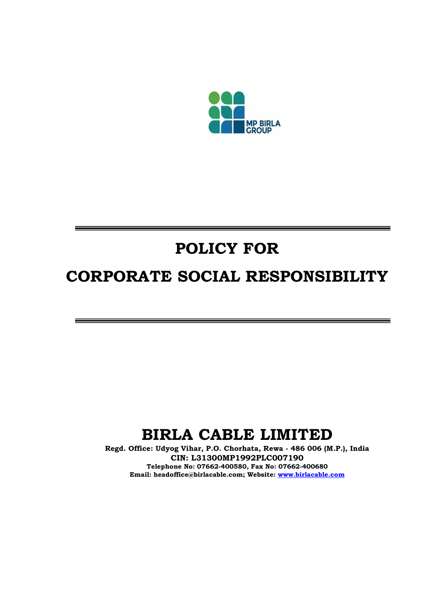

# POLICY FOR

## CORPORATE SOCIAL RESPONSIBILITY

### BIRLA CABLE LIMITED

Regd. Office: Udyog Vihar, P.O. Chorhata, Rewa - 486 006 (M.P.), India CIN: L31300MP1992PLC007190 Telephone No: 07662-400580, Fax No: 07662-400680 Email: headoffice@birlacable.com; Website: www.birlacable.com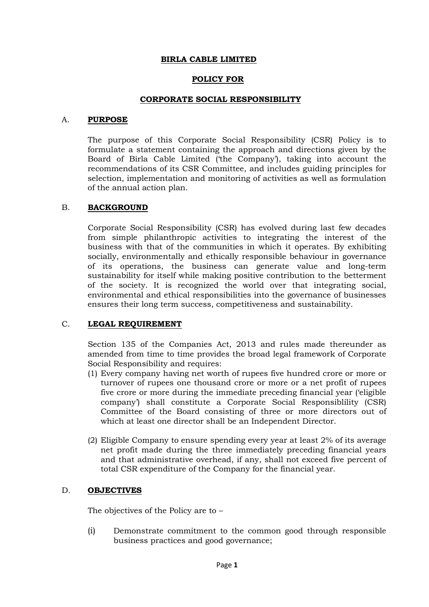#### BIRLA CABLE LIMITED

#### POLICY FOR

#### CORPORATE SOCIAL RESPONSIBILITY

#### A. PURPOSE

The purpose of this Corporate Social Responsibility (CSR) Policy is to formulate a statement containing the approach and directions given by the Board of Birla Cable Limited ('the Company'), taking into account the recommendations of its CSR Committee, and includes guiding principles for selection, implementation and monitoring of activities as well as formulation of the annual action plan.

#### B. BACKGROUND

Corporate Social Responsibility (CSR) has evolved during last few decades from simple philanthropic activities to integrating the interest of the business with that of the communities in which it operates. By exhibiting socially, environmentally and ethically responsible behaviour in governance of its operations, the business can generate value and long-term sustainability for itself while making positive contribution to the betterment of the society. It is recognized the world over that integrating social, environmental and ethical responsibilities into the governance of businesses ensures their long term success, competitiveness and sustainability.

#### C. LEGAL REQUIREMENT

Section 135 of the Companies Act, 2013 and rules made thereunder as amended from time to time provides the broad legal framework of Corporate Social Responsibility and requires:

- (1) Every company having net worth of rupees five hundred crore or more or turnover of rupees one thousand crore or more or a net profit of rupees five crore or more during the immediate preceding financial year ('eligible company') shall constitute a Corporate Social Responsiblility (CSR) Committee of the Board consisting of three or more directors out of which at least one director shall be an Independent Director.
- (2) Eligible Company to ensure spending every year at least 2% of its average net profit made during the three immediately preceding financial years and that administrative overhead, if any, shall not exceed five percent of total CSR expenditure of the Company for the financial year.

#### D. OBJECTIVES

The objectives of the Policy are to –

(i) Demonstrate commitment to the common good through responsible business practices and good governance;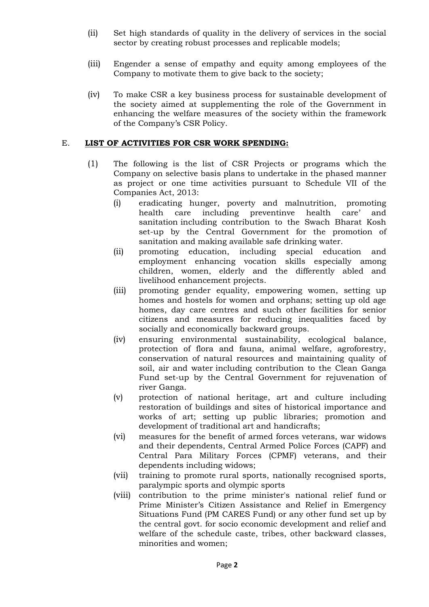- (ii) Set high standards of quality in the delivery of services in the social sector by creating robust processes and replicable models;
- (iii) Engender a sense of empathy and equity among employees of the Company to motivate them to give back to the society;
- (iv) To make CSR a key business process for sustainable development of the society aimed at supplementing the role of the Government in enhancing the welfare measures of the society within the framework of the Company's CSR Policy.

#### E. LIST OF ACTIVITIES FOR CSR WORK SPENDING:

- (1) The following is the list of CSR Projects or programs which the Company on selective basis plans to undertake in the phased manner as project or one time activities pursuant to Schedule VII of the Companies Act, 2013:
	- (i) eradicating hunger, poverty and malnutrition, promoting health care including preventinve health care' and sanitation including contribution to the Swach Bharat Kosh set-up by the Central Government for the promotion of sanitation and making available safe drinking water.
	- (ii) promoting education, including special education and employment enhancing vocation skills especially among children, women, elderly and the differently abled and livelihood enhancement projects.
	- (iii) promoting gender equality, empowering women, setting up homes and hostels for women and orphans; setting up old age homes, day care centres and such other facilities for senior citizens and measures for reducing inequalities faced by socially and economically backward groups.
	- (iv) ensuring environmental sustainability, ecological balance, protection of flora and fauna, animal welfare, agroforestry, conservation of natural resources and maintaining quality of soil, air and water including contribution to the Clean Ganga Fund set-up by the Central Government for rejuvenation of river Ganga.
	- (v) protection of national heritage, art and culture including restoration of buildings and sites of historical importance and works of art; setting up public libraries; promotion and development of traditional art and handicrafts;
	- (vi) measures for the benefit of armed forces veterans, war widows and their dependents, Central Armed Police Forces (CAPF) and Central Para Military Forces (CPMF) veterans, and their dependents including widows;
	- (vii) training to promote rural sports, nationally recognised sports, paralympic sports and olympic sports
	- (viii) contribution to the prime minister's national relief fund or Prime Minister's Citizen Assistance and Relief in Emergency Situations Fund (PM CARES Fund) or any other fund set up by the central govt. for socio economic development and relief and welfare of the schedule caste, tribes, other backward classes, minorities and women;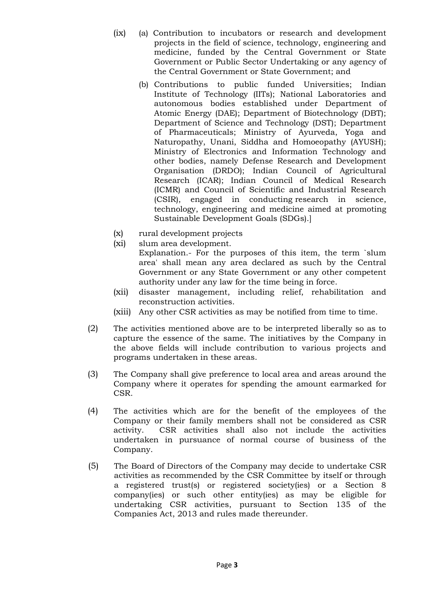- (ix) (a) Contribution to incubators or research and development projects in the field of science, technology, engineering and medicine, funded by the Central Government or State Government or Public Sector Undertaking or any agency of the Central Government or State Government; and
	- (b) Contributions to public funded Universities; Indian Institute of Technology (IITs); National Laboratories and autonomous bodies established under Department of Atomic Energy (DAE); Department of Biotechnology (DBT); Department of Science and Technology (DST); Department of Pharmaceuticals; Ministry of Ayurveda, Yoga and Naturopathy, Unani, Siddha and Homoeopathy (AYUSH); Ministry of Electronics and Information Technology and other bodies, namely Defense Research and Development Organisation (DRDO); Indian Council of Agricultural Research (ICAR); Indian Council of Medical Research (ICMR) and Council of Scientific and Industrial Research (CSIR), engaged in conducting research in science, technology, engineering and medicine aimed at promoting Sustainable Development Goals (SDGs).]
- (x) rural development projects
- (xi) slum area development.
	- Explanation.- For the purposes of this item, the term `slum area' shall mean any area declared as such by the Central Government or any State Government or any other competent authority under any law for the time being in force.
- (xii) disaster management, including relief, rehabilitation and reconstruction activities.
- (xiii) Any other CSR activities as may be notified from time to time.
- (2) The activities mentioned above are to be interpreted liberally so as to capture the essence of the same. The initiatives by the Company in the above fields will include contribution to various projects and programs undertaken in these areas.
- (3) The Company shall give preference to local area and areas around the Company where it operates for spending the amount earmarked for CSR.
- (4) The activities which are for the benefit of the employees of the Company or their family members shall not be considered as CSR activity. CSR activities shall also not include the activities undertaken in pursuance of normal course of business of the Company.
- (5) The Board of Directors of the Company may decide to undertake CSR activities as recommended by the CSR Committee by itself or through a registered trust(s) or registered society(ies) or a Section 8 company(ies) or such other entity(ies) as may be eligible for undertaking CSR activities, pursuant to Section 135 of the Companies Act, 2013 and rules made thereunder.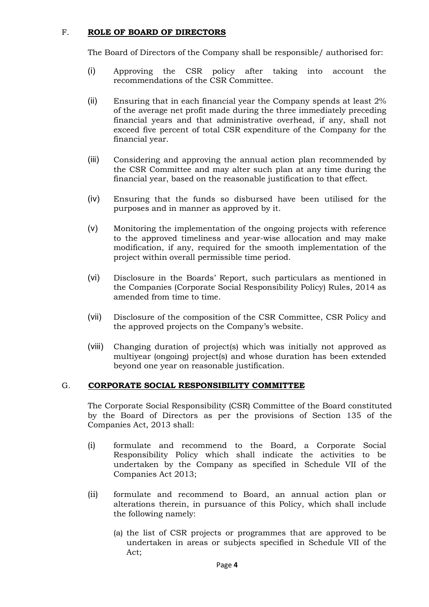#### F. ROLE OF BOARD OF DIRECTORS

The Board of Directors of the Company shall be responsible/ authorised for:

- (i) Approving the CSR policy after taking into account the recommendations of the CSR Committee.
- (ii) Ensuring that in each financial year the Company spends at least 2% of the average net profit made during the three immediately preceding financial years and that administrative overhead, if any, shall not exceed five percent of total CSR expenditure of the Company for the financial year.
- (iii) Considering and approving the annual action plan recommended by the CSR Committee and may alter such plan at any time during the financial year, based on the reasonable justification to that effect.
- (iv) Ensuring that the funds so disbursed have been utilised for the purposes and in manner as approved by it.
- (v) Monitoring the implementation of the ongoing projects with reference to the approved timeliness and year-wise allocation and may make modification, if any, required for the smooth implementation of the project within overall permissible time period.
- (vi) Disclosure in the Boards' Report, such particulars as mentioned in the Companies (Corporate Social Responsibility Policy) Rules, 2014 as amended from time to time.
- (vii) Disclosure of the composition of the CSR Committee, CSR Policy and the approved projects on the Company's website.
- (viii) Changing duration of project(s) which was initially not approved as multiyear (ongoing) project(s) and whose duration has been extended beyond one year on reasonable justification.

#### G. CORPORATE SOCIAL RESPONSIBILITY COMMITTEE

The Corporate Social Responsibility (CSR) Committee of the Board constituted by the Board of Directors as per the provisions of Section 135 of the Companies Act, 2013 shall:

- (i) formulate and recommend to the Board, a Corporate Social Responsibility Policy which shall indicate the activities to be undertaken by the Company as specified in Schedule VII of the Companies Act 2013;
- (ii) formulate and recommend to Board, an annual action plan or alterations therein, in pursuance of this Policy, which shall include the following namely:
	- (a) the list of CSR projects or programmes that are approved to be undertaken in areas or subjects specified in Schedule VII of the Act;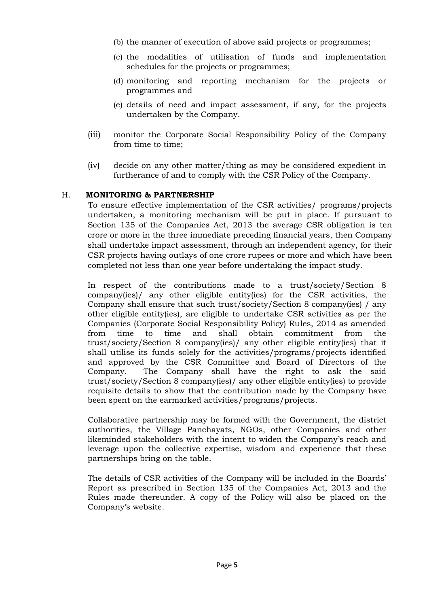- (b) the manner of execution of above said projects or programmes;
- (c) the modalities of utilisation of funds and implementation schedules for the projects or programmes;
- (d) monitoring and reporting mechanism for the projects or programmes and
- (e) details of need and impact assessment, if any, for the projects undertaken by the Company.
- (iii) monitor the Corporate Social Responsibility Policy of the Company from time to time;
- (iv) decide on any other matter/thing as may be considered expedient in furtherance of and to comply with the CSR Policy of the Company.

#### H. MONITORING & PARTNERSHIP

To ensure effective implementation of the CSR activities/ programs/projects undertaken, a monitoring mechanism will be put in place. If pursuant to Section 135 of the Companies Act, 2013 the average CSR obligation is ten crore or more in the three immediate preceding financial years, then Company shall undertake impact assessment, through an independent agency, for their CSR projects having outlays of one crore rupees or more and which have been completed not less than one year before undertaking the impact study.

In respect of the contributions made to a trust/society/Section 8 company(ies)/ any other eligible entity(ies) for the CSR activities, the Company shall ensure that such trust/society/Section 8 company(ies) / any other eligible entity(ies), are eligible to undertake CSR activities as per the Companies (Corporate Social Responsibility Policy) Rules, 2014 as amended from time to time and shall obtain commitment from the trust/society/Section 8 company(ies)/ any other eligible entity(ies) that it shall utilise its funds solely for the activities/programs/projects identified and approved by the CSR Committee and Board of Directors of the Company. The Company shall have the right to ask the said trust/society/Section 8 company(ies)/ any other eligible entity(ies) to provide requisite details to show that the contribution made by the Company have been spent on the earmarked activities/programs/projects.

Collaborative partnership may be formed with the Government, the district authorities, the Village Panchayats, NGOs, other Companies and other likeminded stakeholders with the intent to widen the Company's reach and leverage upon the collective expertise, wisdom and experience that these partnerships bring on the table.

The details of CSR activities of the Company will be included in the Boards' Report as prescribed in Section 135 of the Companies Act, 2013 and the Rules made thereunder. A copy of the Policy will also be placed on the Company's website.